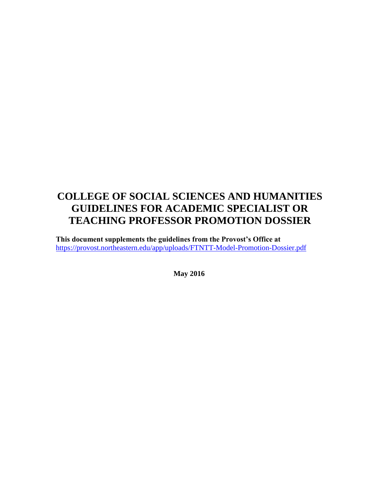# **COLLEGE OF SOCIAL SCIENCES AND HUMANITIES GUIDELINES FOR ACADEMIC SPECIALIST OR TEACHING PROFESSOR PROMOTION DOSSIER**

**This document supplements the guidelines from the Provost's Office at** <https://provost.northeastern.edu/app/uploads/FTNTT-Model-Promotion-Dossier.pdf>

**May 2016**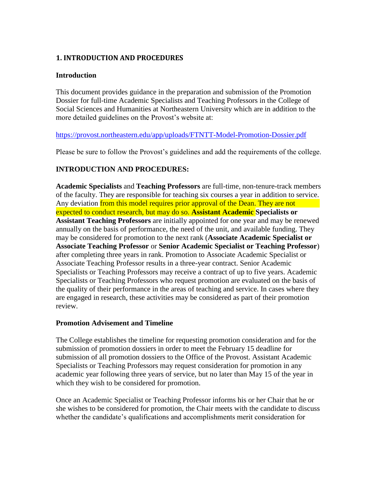# **1. INTRODUCTION AND PROCEDURES**

## **Introduction**

This document provides guidance in the preparation and submission of the Promotion Dossier for full-time Academic Specialists and Teaching Professors in the College of Social Sciences and Humanities at Northeastern University which are in addition to the more detailed guidelines on the Provost's website at:

## <https://provost.northeastern.edu/app/uploads/FTNTT-Model-Promotion-Dossier.pdf>

Please be sure to follow the Provost's guidelines and add the requirements of the college.

## **INTRODUCTION AND PROCEDURES:**

**Academic Specialists** and **Teaching Professors** are full-time, non-tenure-track members of the faculty. They are responsible for teaching six courses a year in addition to service. Any deviation from this model requires prior approval of the Dean. They are not expected to conduct research, but may do so. **Assistant Academic Specialists or Assistant Teaching Professors** are initially appointed for one year and may be renewed annually on the basis of performance, the need of the unit, and available funding. They may be considered for promotion to the next rank (**Associate Academic Specialist or Associate Teaching Professor** or **Senior Academic Specialist or Teaching Professor**) after completing three years in rank. Promotion to Associate Academic Specialist or Associate Teaching Professor results in a three-year contract. Senior Academic Specialists or Teaching Professors may receive a contract of up to five years. Academic Specialists or Teaching Professors who request promotion are evaluated on the basis of the quality of their performance in the areas of teaching and service. In cases where they are engaged in research, these activities may be considered as part of their promotion review.

#### **Promotion Advisement and Timeline**

The College establishes the timeline for requesting promotion consideration and for the submission of promotion dossiers in order to meet the February 15 deadline for submission of all promotion dossiers to the Office of the Provost. Assistant Academic Specialists or Teaching Professors may request consideration for promotion in any academic year following three years of service, but no later than May 15 of the year in which they wish to be considered for promotion.

Once an Academic Specialist or Teaching Professor informs his or her Chair that he or she wishes to be considered for promotion, the Chair meets with the candidate to discuss whether the candidate's qualifications and accomplishments merit consideration for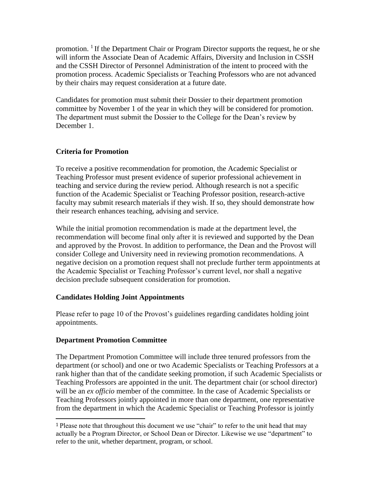promotion. <sup>[1](#page-2-0)</sup> If the Department Chair or Program Director supports the request, he or she will inform the Associate Dean of Academic Affairs, Diversity and Inclusion in CSSH and the CSSH Director of Personnel Administration of the intent to proceed with the promotion process. Academic Specialists or Teaching Professors who are not advanced by their chairs may request consideration at a future date.

Candidates for promotion must submit their Dossier to their department promotion committee by November 1 of the year in which they will be considered for promotion. The department must submit the Dossier to the College for the Dean's review by December 1.

## **Criteria for Promotion**

To receive a positive recommendation for promotion, the Academic Specialist or Teaching Professor must present evidence of superior professional achievement in teaching and service during the review period. Although research is not a specific function of the Academic Specialist or Teaching Professor position, research-active faculty may submit research materials if they wish. If so, they should demonstrate how their research enhances teaching, advising and service.

While the initial promotion recommendation is made at the department level, the recommendation will become final only after it is reviewed and supported by the Dean and approved by the Provost. In addition to performance, the Dean and the Provost will consider College and University need in reviewing promotion recommendations. A negative decision on a promotion request shall not preclude further term appointments at the Academic Specialist or Teaching Professor's current level, nor shall a negative decision preclude subsequent consideration for promotion.

# **Candidates Holding Joint Appointments**

Please refer to page 10 of the Provost's guidelines regarding candidates holding joint appointments.

# **Department Promotion Committee**

The Department Promotion Committee will include three tenured professors from the department (or school) and one or two Academic Specialists or Teaching Professors at a rank higher than that of the candidate seeking promotion, if such Academic Specialists or Teaching Professors are appointed in the unit. The department chair (or school director) will be an *ex officio* member of the committee. In the case of Academic Specialists or Teaching Professors jointly appointed in more than one department, one representative from the department in which the Academic Specialist or Teaching Professor is jointly

<span id="page-2-0"></span><sup>&</sup>lt;sup>1</sup> Please note that throughout this document we use "chair" to refer to the unit head that may actually be a Program Director, or School Dean or Director. Likewise we use "department" to refer to the unit, whether department, program, or school.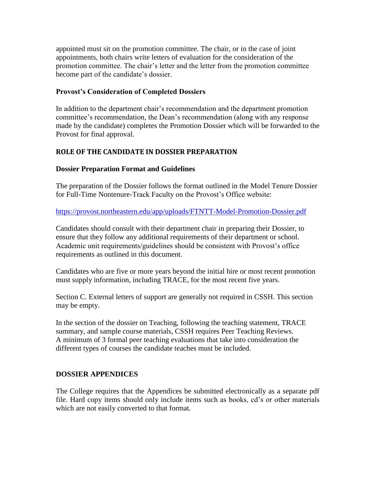appointed must sit on the promotion committee. The chair, or in the case of joint appointments, both chairs write letters of evaluation for the consideration of the promotion committee. The chair's letter and the letter from the promotion committee become part of the candidate's dossier.

## **Provost's Consideration of Completed Dossiers**

In addition to the department chair's recommendation and the department promotion committee's recommendation, the Dean's recommendation (along with any response made by the candidate) completes the Promotion Dossier which will be forwarded to the Provost for final approval.

## **ROLE OF THE CANDIDATE IN DOSSIER PREPARATION**

## **Dossier Preparation Format and Guidelines**

The preparation of the Dossier follows the format outlined in the Model Tenure Dossier for Full-Time Nontenure-Track Faculty on the Provost's Office website:

<https://provost.northeastern.edu/app/uploads/FTNTT-Model-Promotion-Dossier.pdf>

Candidates should consult with their department chair in preparing their Dossier, to ensure that they follow any additional requirements of their department or school. Academic unit requirements/guidelines should be consistent with Provost's office requirements as outlined in this document.

Candidates who are five or more years beyond the initial hire or most recent promotion must supply information, including TRACE, for the most recent five years.

Section C. External letters of support are generally not required in CSSH. This section may be empty.

In the section of the dossier on Teaching, following the teaching statement, TRACE summary, and sample course materials, CSSH requires Peer Teaching Reviews. A minimum of 3 formal peer teaching evaluations that take into consideration the different types of courses the candidate teaches must be included.

## **DOSSIER APPENDICES**

The College requires that the Appendices be submitted electronically as a separate pdf file. Hard copy items should only include items such as books, cd's or other materials which are not easily converted to that format.